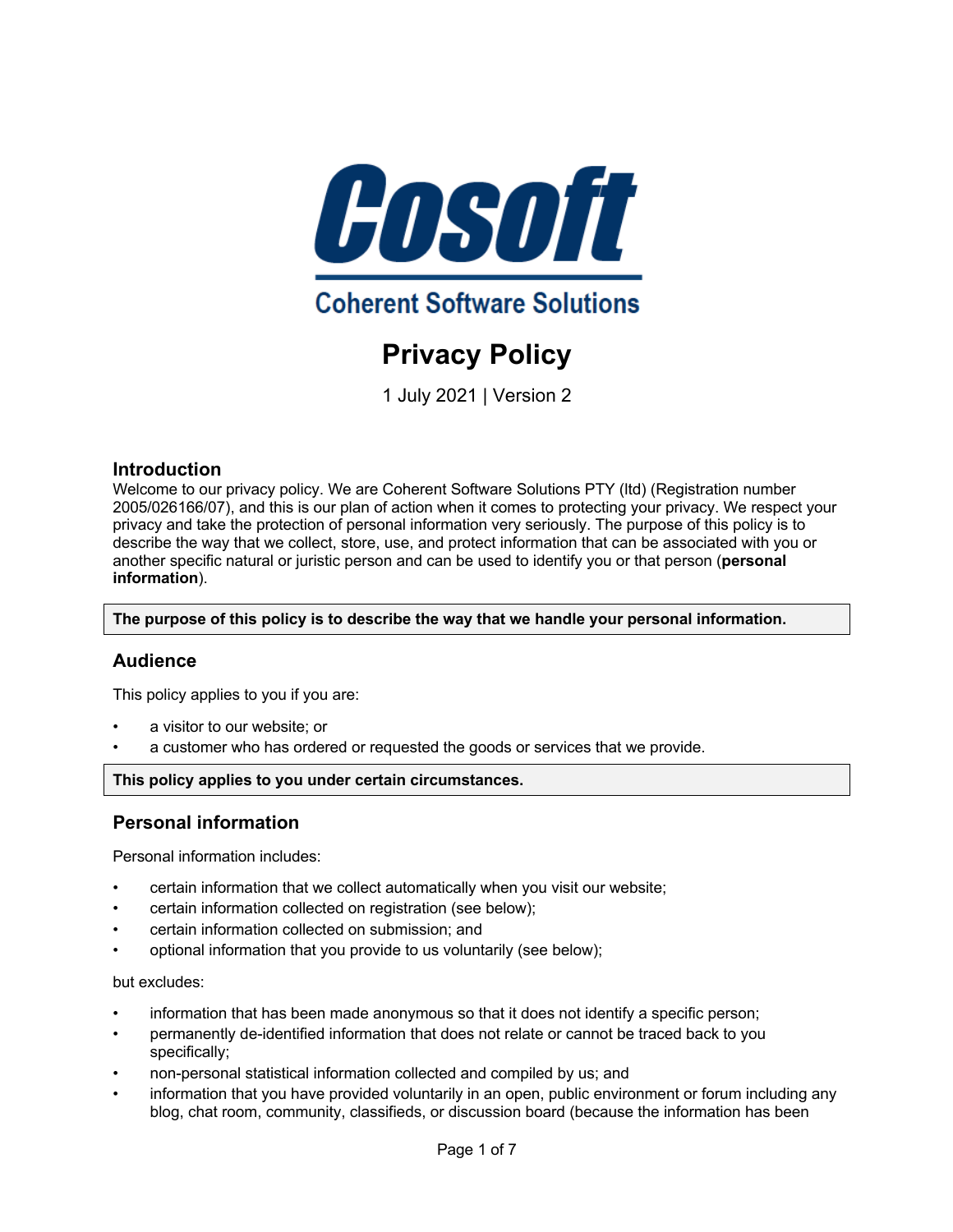

# **Privacy Policy**

1 July 2021 | Version 2

# **Introduction**

Welcome to our privacy policy. We are Coherent Software Solutions PTY (ltd) (Registration number 2005/026166/07), and this is our plan of action when it comes to protecting your privacy. We respect your privacy and take the protection of personal information very seriously. The purpose of this policy is to describe the way that we collect, store, use, and protect information that can be associated with you or another specific natural or juristic person and can be used to identify you or that person (**personal information**).

**The purpose of this policy is to describe the way that we handle your personal information.**

# **Audience**

This policy applies to you if you are:

- a visitor to our website; or
- a customer who has ordered or requested the goods or services that we provide.

# **This policy applies to you under certain circumstances.**

# **Personal information**

Personal information includes:

- certain information that we collect automatically when you visit our website;
- certain information collected on registration (see below);
- certain information collected on submission; and
- optional information that you provide to us voluntarily (see below);

# but excludes:

- information that has been made anonymous so that it does not identify a specific person;
- permanently de-identified information that does not relate or cannot be traced back to you specifically;
- non-personal statistical information collected and compiled by us; and
- information that you have provided voluntarily in an open, public environment or forum including any blog, chat room, community, classifieds, or discussion board (because the information has been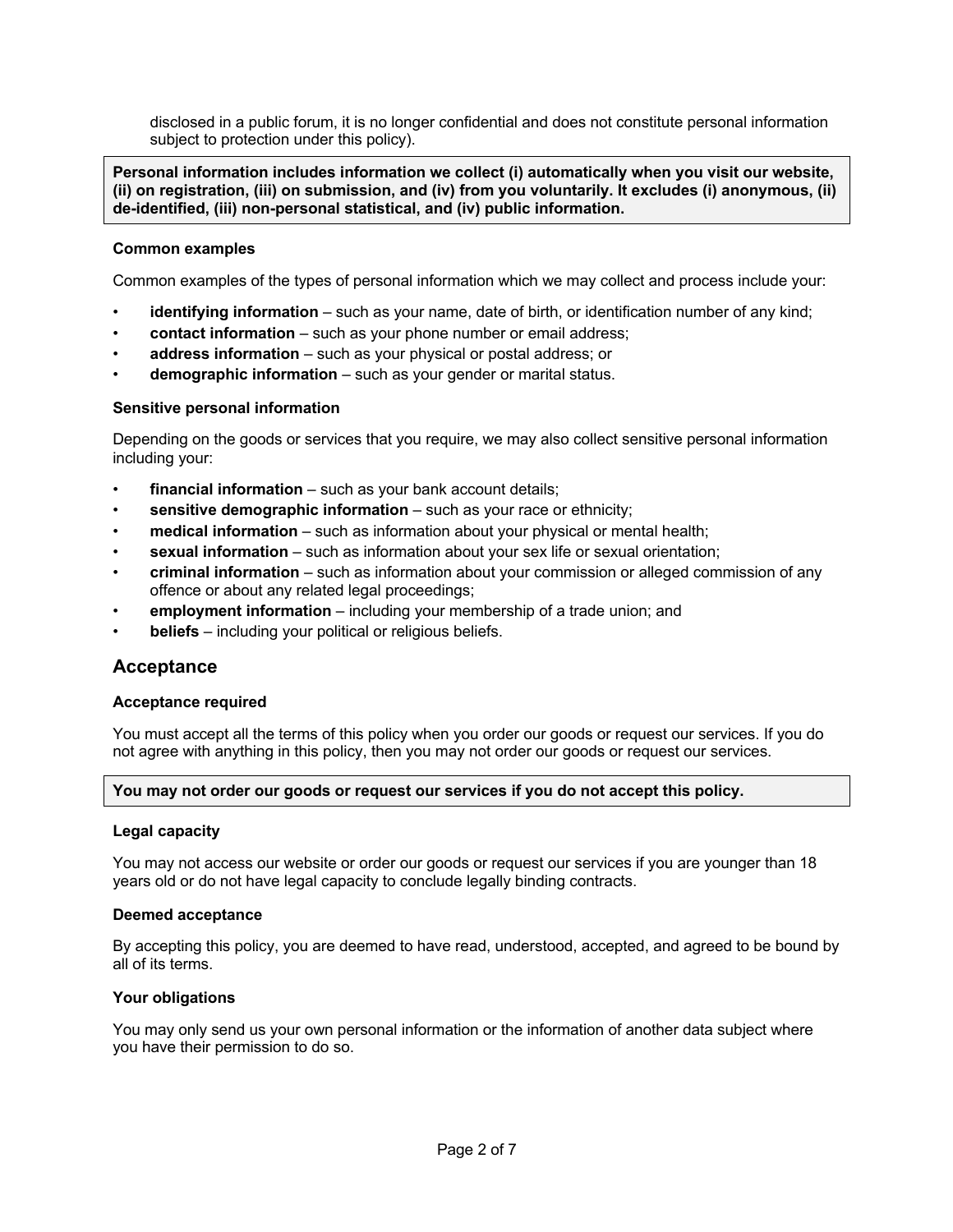disclosed in a public forum, it is no longer confidential and does not constitute personal information subject to protection under this policy).

**Personal information includes information we collect (i) automatically when you visit our website, (ii) on registration, (iii) on submission, and (iv) from you voluntarily. It excludes (i) anonymous, (ii) de-identified, (iii) non-personal statistical, and (iv) public information.**

# **Common examples**

Common examples of the types of personal information which we may collect and process include your:

- **identifying information** such as your name, date of birth, or identification number of any kind;
- **contact information** such as your phone number or email address;
- **address information** such as your physical or postal address; or
- **demographic information** such as your gender or marital status.

# **Sensitive personal information**

Depending on the goods or services that you require, we may also collect sensitive personal information including your:

- financial information such as your bank account details;
- **sensitive demographic information** such as your race or ethnicity;
- **medical information** such as information about your physical or mental health;
- **sexual information** such as information about your sex life or sexual orientation;
- **criminal information** such as information about your commission or alleged commission of any offence or about any related legal proceedings;
- **employment information** including your membership of a trade union; and
- **beliefs** including your political or religious beliefs.

# **Acceptance**

# **Acceptance required**

You must accept all the terms of this policy when you order our goods or request our services. If you do not agree with anything in this policy, then you may not order our goods or request our services.

# **You may not order our goods or request our services if you do not accept this policy.**

# **Legal capacity**

You may not access our website or order our goods or request our services if you are younger than 18 years old or do not have legal capacity to conclude legally binding contracts.

# **Deemed acceptance**

By accepting this policy, you are deemed to have read, understood, accepted, and agreed to be bound by all of its terms.

# **Your obligations**

You may only send us your own personal information or the information of another data subject where you have their permission to do so.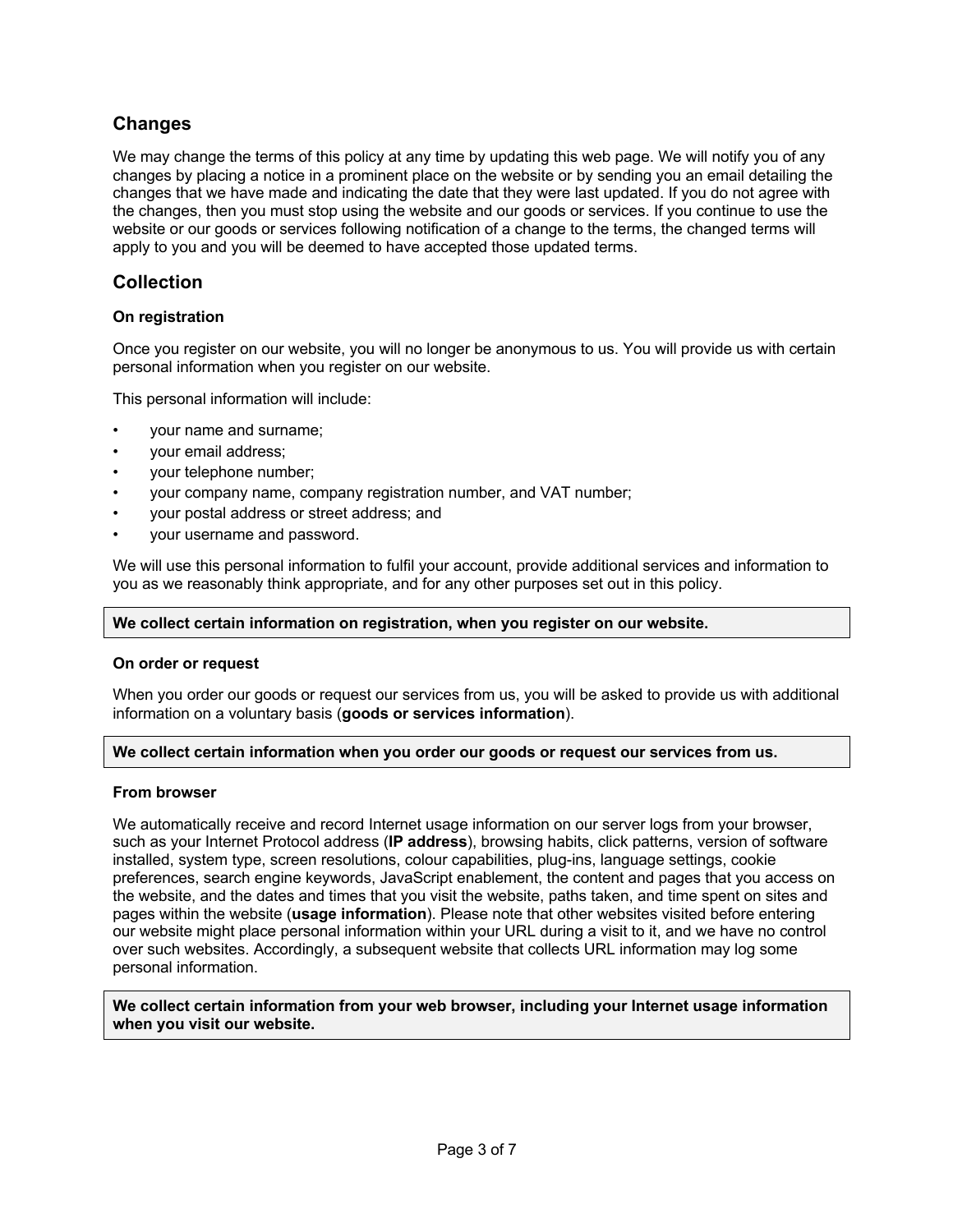# **Changes**

We may change the terms of this policy at any time by updating this web page. We will notify you of any changes by placing a notice in a prominent place on the website or by sending you an email detailing the changes that we have made and indicating the date that they were last updated. If you do not agree with the changes, then you must stop using the website and our goods or services. If you continue to use the website or our goods or services following notification of a change to the terms, the changed terms will apply to you and you will be deemed to have accepted those updated terms.

# **Collection**

# **On registration**

Once you register on our website, you will no longer be anonymous to us. You will provide us with certain personal information when you register on our website.

This personal information will include:

- your name and surname;
- your email address;
- your telephone number;
- your company name, company registration number, and VAT number;
- your postal address or street address; and
- your username and password.

We will use this personal information to fulfil your account, provide additional services and information to you as we reasonably think appropriate, and for any other purposes set out in this policy.

# **We collect certain information on registration, when you register on our website.**

# **On order or request**

When you order our goods or request our services from us, you will be asked to provide us with additional information on a voluntary basis (**goods or services information**).

# **We collect certain information when you order our goods or request our services from us.**

# **From browser**

We automatically receive and record Internet usage information on our server logs from your browser, such as your Internet Protocol address (**IP address**), browsing habits, click patterns, version of software installed, system type, screen resolutions, colour capabilities, plug-ins, language settings, cookie preferences, search engine keywords, JavaScript enablement, the content and pages that you access on the website, and the dates and times that you visit the website, paths taken, and time spent on sites and pages within the website (**usage information**). Please note that other websites visited before entering our website might place personal information within your URL during a visit to it, and we have no control over such websites. Accordingly, a subsequent website that collects URL information may log some personal information.

**We collect certain information from your web browser, including your Internet usage information when you visit our website.**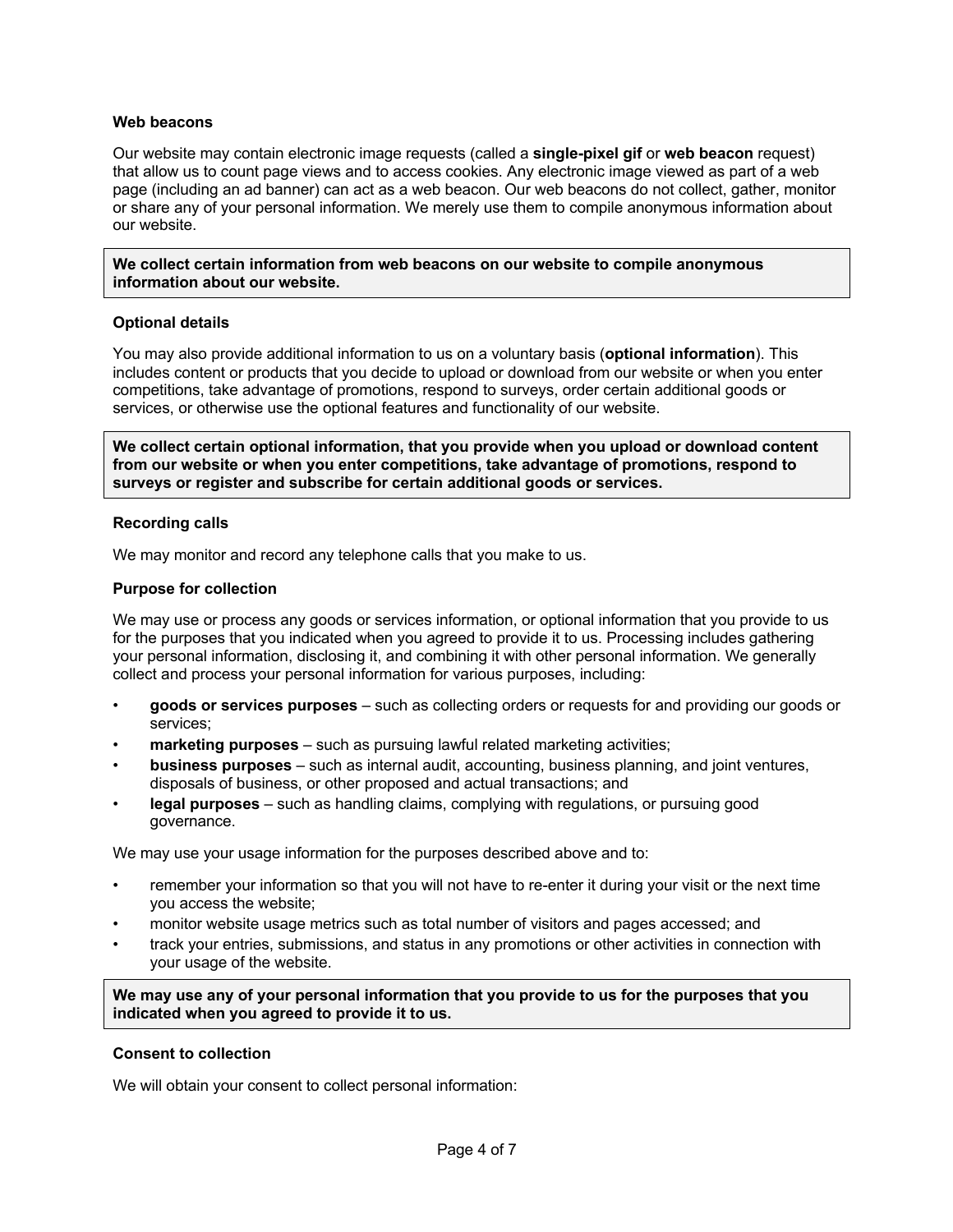# **Web beacons**

Our website may contain electronic image requests (called a **single-pixel gif** or **web beacon** request) that allow us to count page views and to access cookies. Any electronic image viewed as part of a web page (including an ad banner) can act as a web beacon. Our web beacons do not collect, gather, monitor or share any of your personal information. We merely use them to compile anonymous information about our website.

**We collect certain information from web beacons on our website to compile anonymous information about our website.**

# **Optional details**

You may also provide additional information to us on a voluntary basis (**optional information**). This includes content or products that you decide to upload or download from our website or when you enter competitions, take advantage of promotions, respond to surveys, order certain additional goods or services, or otherwise use the optional features and functionality of our website.

**We collect certain optional information, that you provide when you upload or download content from our website or when you enter competitions, take advantage of promotions, respond to surveys or register and subscribe for certain additional goods or services.**

#### **Recording calls**

We may monitor and record any telephone calls that you make to us.

#### **Purpose for collection**

We may use or process any goods or services information, or optional information that you provide to us for the purposes that you indicated when you agreed to provide it to us. Processing includes gathering your personal information, disclosing it, and combining it with other personal information. We generally collect and process your personal information for various purposes, including:

- **goods or services purposes** such as collecting orders or requests for and providing our goods or services;
- **marketing purposes** such as pursuing lawful related marketing activities;
- **business purposes** such as internal audit, accounting, business planning, and joint ventures, disposals of business, or other proposed and actual transactions; and
- **legal purposes** such as handling claims, complying with regulations, or pursuing good governance.

We may use your usage information for the purposes described above and to:

- remember your information so that you will not have to re-enter it during your visit or the next time you access the website;
- monitor website usage metrics such as total number of visitors and pages accessed; and
- track your entries, submissions, and status in any promotions or other activities in connection with your usage of the website.

**We may use any of your personal information that you provide to us for the purposes that you indicated when you agreed to provide it to us.**

#### **Consent to collection**

We will obtain your consent to collect personal information: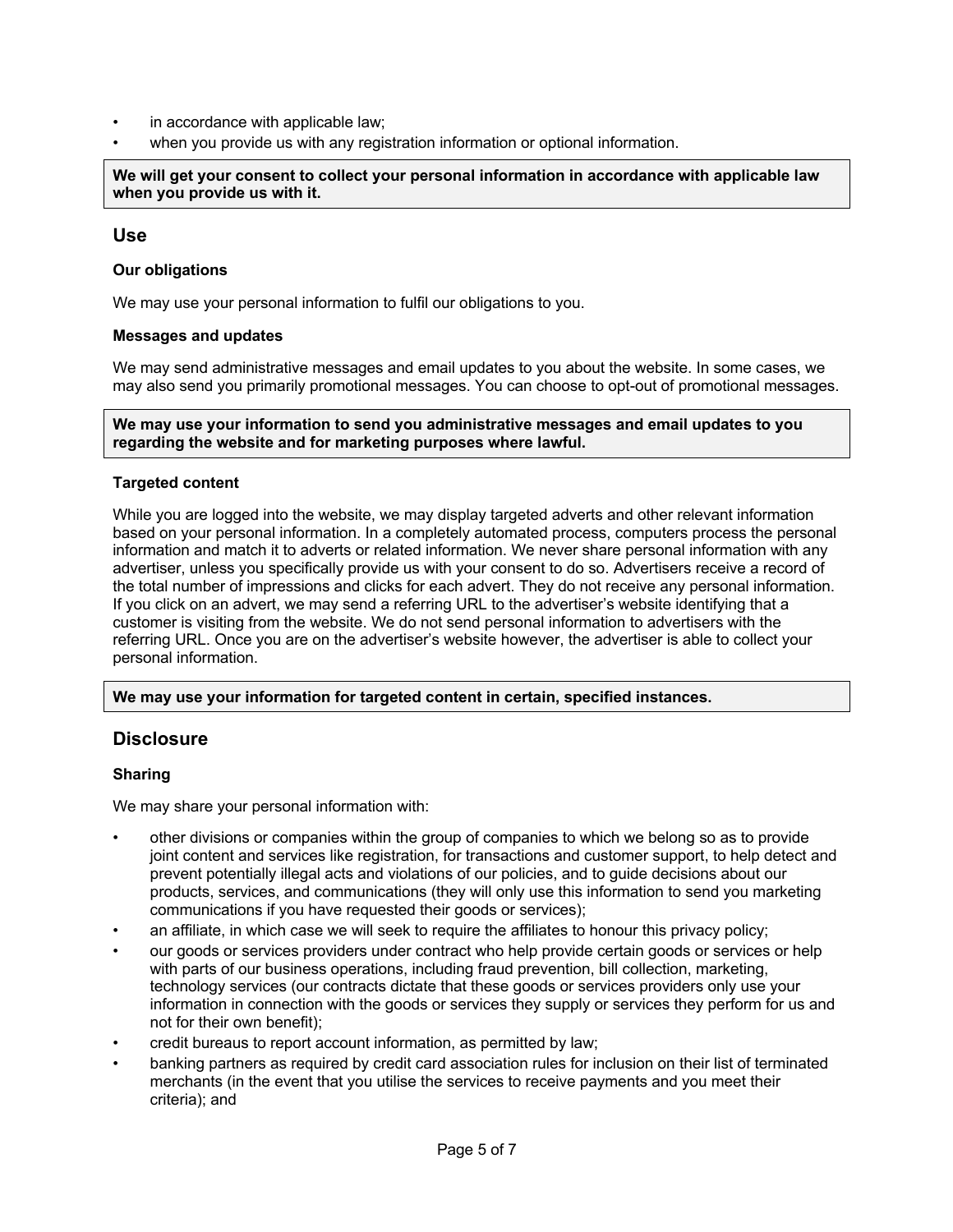- in accordance with applicable law;
- when you provide us with any registration information or optional information.

**We will get your consent to collect your personal information in accordance with applicable law when you provide us with it.**

# **Use**

# **Our obligations**

We may use your personal information to fulfil our obligations to you.

# **Messages and updates**

We may send administrative messages and email updates to you about the website. In some cases, we may also send you primarily promotional messages. You can choose to opt-out of promotional messages.

**We may use your information to send you administrative messages and email updates to you regarding the website and for marketing purposes where lawful.**

# **Targeted content**

While you are logged into the website, we may display targeted adverts and other relevant information based on your personal information. In a completely automated process, computers process the personal information and match it to adverts or related information. We never share personal information with any advertiser, unless you specifically provide us with your consent to do so. Advertisers receive a record of the total number of impressions and clicks for each advert. They do not receive any personal information. If you click on an advert, we may send a referring URL to the advertiser's website identifying that a customer is visiting from the website. We do not send personal information to advertisers with the referring URL. Once you are on the advertiser's website however, the advertiser is able to collect your personal information.

# **We may use your information for targeted content in certain, specified instances.**

# **Disclosure**

# **Sharing**

We may share your personal information with:

- other divisions or companies within the group of companies to which we belong so as to provide joint content and services like registration, for transactions and customer support, to help detect and prevent potentially illegal acts and violations of our policies, and to guide decisions about our products, services, and communications (they will only use this information to send you marketing communications if you have requested their goods or services);
- an affiliate, in which case we will seek to require the affiliates to honour this privacy policy;
- our goods or services providers under contract who help provide certain goods or services or help with parts of our business operations, including fraud prevention, bill collection, marketing, technology services (our contracts dictate that these goods or services providers only use your information in connection with the goods or services they supply or services they perform for us and not for their own benefit);
- credit bureaus to report account information, as permitted by law;
- banking partners as required by credit card association rules for inclusion on their list of terminated merchants (in the event that you utilise the services to receive payments and you meet their criteria); and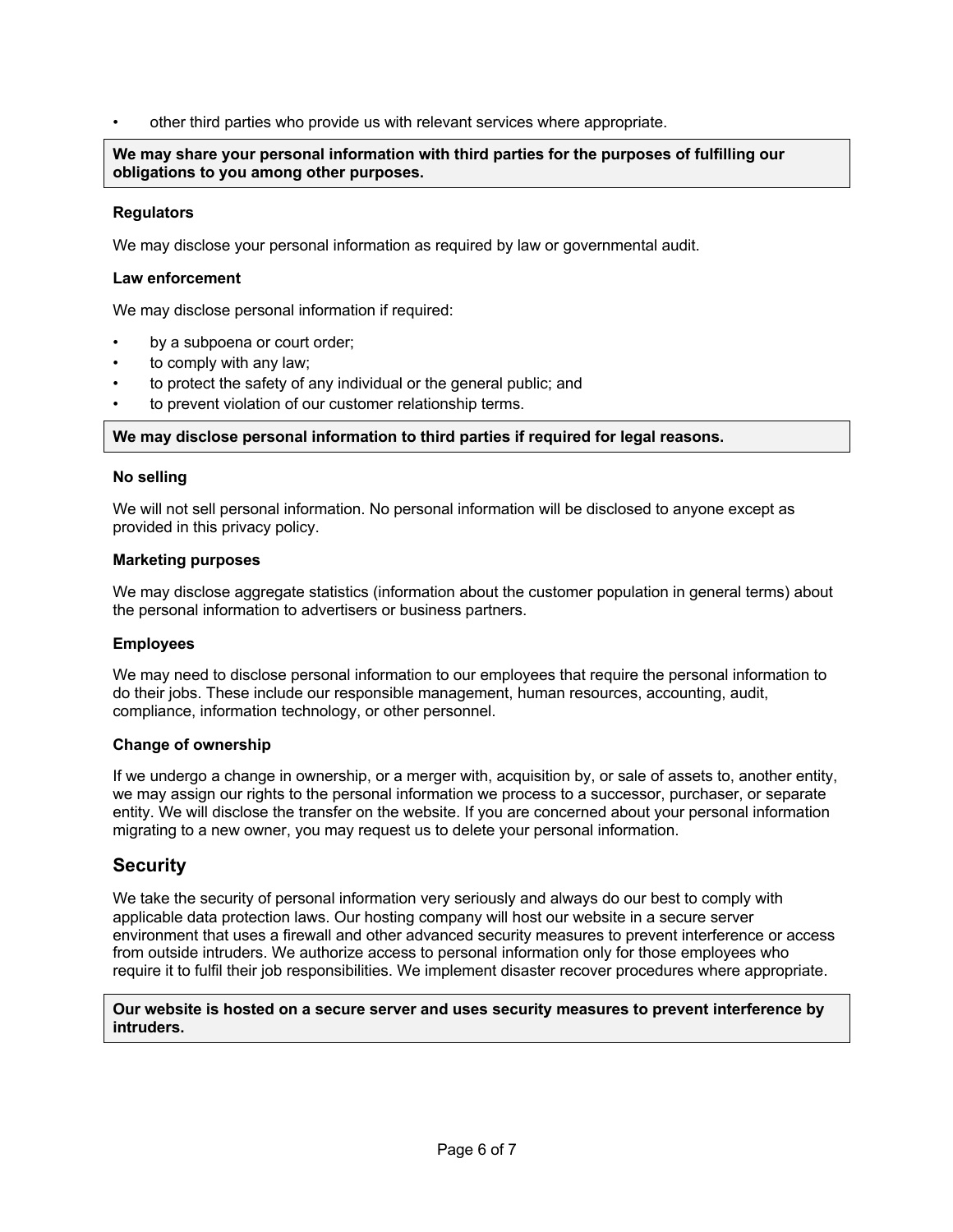• other third parties who provide us with relevant services where appropriate.

**We may share your personal information with third parties for the purposes of fulfilling our obligations to you among other purposes.**

# **Regulators**

We may disclose your personal information as required by law or governmental audit.

# **Law enforcement**

We may disclose personal information if required:

- by a subpoena or court order;
- to comply with any law;
- to protect the safety of any individual or the general public; and
- to prevent violation of our customer relationship terms.

# **We may disclose personal information to third parties if required for legal reasons.**

# **No selling**

We will not sell personal information. No personal information will be disclosed to anyone except as provided in this privacy policy.

# **Marketing purposes**

We may disclose aggregate statistics (information about the customer population in general terms) about the personal information to advertisers or business partners.

# **Employees**

We may need to disclose personal information to our employees that require the personal information to do their jobs. These include our responsible management, human resources, accounting, audit, compliance, information technology, or other personnel.

# **Change of ownership**

If we undergo a change in ownership, or a merger with, acquisition by, or sale of assets to, another entity, we may assign our rights to the personal information we process to a successor, purchaser, or separate entity. We will disclose the transfer on the website. If you are concerned about your personal information migrating to a new owner, you may request us to delete your personal information.

# **Security**

We take the security of personal information very seriously and always do our best to comply with applicable data protection laws. Our hosting company will host our website in a secure server environment that uses a firewall and other advanced security measures to prevent interference or access from outside intruders. We authorize access to personal information only for those employees who require it to fulfil their job responsibilities. We implement disaster recover procedures where appropriate.

**Our website is hosted on a secure server and uses security measures to prevent interference by intruders.**